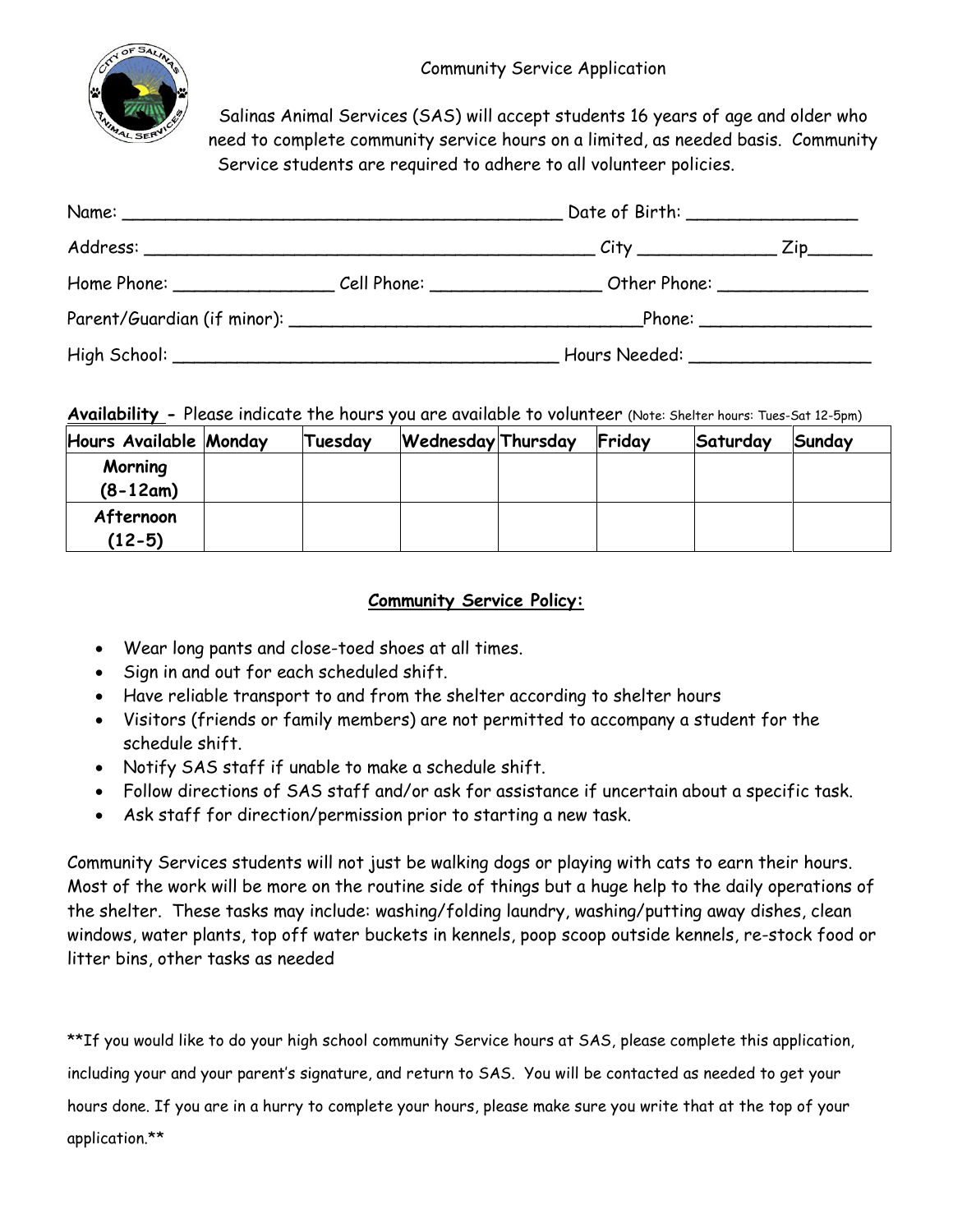

Salinas Animal Services (SAS) will accept students 16 years of age and older who need to complete community service hours on a limited, as needed basis. Community Service students are required to adhere to all volunteer policies.

|             |                           | Date of Birth: __________________ |                            |  |  |  |  |
|-------------|---------------------------|-----------------------------------|----------------------------|--|--|--|--|
|             |                           |                                   | Zip                        |  |  |  |  |
| Home Phone: | Cell Phone: _____________ | Other Phone: _______________      |                            |  |  |  |  |
|             |                           |                                   | Phone: ___________________ |  |  |  |  |
|             |                           | Hours Needed: _______________     |                            |  |  |  |  |

**Availability -** Please indicate the hours you are available to volunteer (Note: Shelter hours: Tues-Sat 12-5pm)

| Hours Available Monday | Tuesday | <b>Wednesday Thursday</b> | Friday | Saturday | Sunday |
|------------------------|---------|---------------------------|--------|----------|--------|
| Morning<br>$(8-12am)$  |         |                           |        |          |        |
| Afternoon<br>$(12-5)$  |         |                           |        |          |        |

## **Community Service Policy:**

- Wear long pants and close-toed shoes at all times.
- Sign in and out for each scheduled shift.
- Have reliable transport to and from the shelter according to shelter hours
- Visitors (friends or family members) are not permitted to accompany a student for the schedule shift.
- Notify SAS staff if unable to make a schedule shift.
- Follow directions of SAS staff and/or ask for assistance if uncertain about a specific task.
- Ask staff for direction/permission prior to starting a new task.

Community Services students will not just be walking dogs or playing with cats to earn their hours. Most of the work will be more on the routine side of things but a huge help to the daily operations of the shelter. These tasks may include: washing/folding laundry, washing/putting away dishes, clean windows, water plants, top off water buckets in kennels, poop scoop outside kennels, re-stock food or litter bins, other tasks as needed

\*\*If you would like to do your high school community Service hours at SAS, please complete this application, including your and your parent's signature, and return to SAS. You will be contacted as needed to get your hours done. If you are in a hurry to complete your hours, please make sure you write that at the top of your application.\*\*